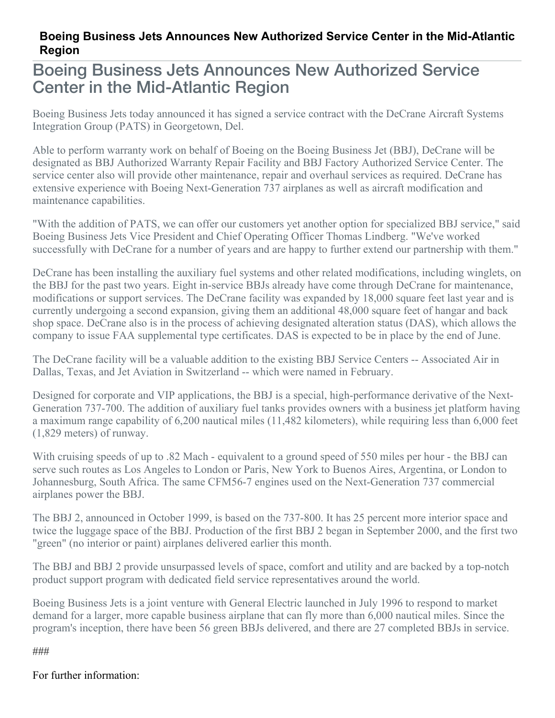## **Boeing Business Jets Announces New Authorized Service Center in the Mid-Atlantic Region**

## Boeing Business Jets Announces New Authorized Service Center in the Mid-Atlantic Region

Boeing Business Jets today announced it has signed a service contract with the DeCrane Aircraft Systems Integration Group (PATS) in Georgetown, Del.

Able to perform warranty work on behalf of Boeing on the Boeing Business Jet (BBJ), DeCrane will be designated as BBJ Authorized Warranty Repair Facility and BBJ Factory Authorized Service Center. The service center also will provide other maintenance, repair and overhaul services as required. DeCrane has extensive experience with Boeing Next-Generation 737 airplanes as well as aircraft modification and maintenance capabilities.

"With the addition of PATS, we can offer our customers yet another option for specialized BBJ service," said Boeing Business Jets Vice President and Chief Operating Officer Thomas Lindberg. "We've worked successfully with DeCrane for a number of years and are happy to further extend our partnership with them."

DeCrane has been installing the auxiliary fuel systems and other related modifications, including winglets, on the BBJ for the past two years. Eight in-service BBJs already have come through DeCrane for maintenance, modifications or support services. The DeCrane facility was expanded by 18,000 square feet last year and is currently undergoing a second expansion, giving them an additional 48,000 square feet of hangar and back shop space. DeCrane also is in the process of achieving designated alteration status (DAS), which allows the company to issue FAA supplemental type certificates. DAS is expected to be in place by the end of June.

The DeCrane facility will be a valuable addition to the existing BBJ Service Centers -- Associated Air in Dallas, Texas, and Jet Aviation in Switzerland -- which were named in February.

Designed for corporate and VIP applications, the BBJ is a special, high-performance derivative of the Next-Generation 737-700. The addition of auxiliary fuel tanks provides owners with a business jet platform having a maximum range capability of 6,200 nautical miles (11,482 kilometers), while requiring less than 6,000 feet (1,829 meters) of runway.

With cruising speeds of up to .82 Mach - equivalent to a ground speed of 550 miles per hour - the BBJ can serve such routes as Los Angeles to London or Paris, New York to Buenos Aires, Argentina, or London to Johannesburg, South Africa. The same CFM56-7 engines used on the Next-Generation 737 commercial airplanes power the BBJ.

The BBJ 2, announced in October 1999, is based on the 737-800. It has 25 percent more interior space and twice the luggage space of the BBJ. Production of the first BBJ 2 began in September 2000, and the first two "green" (no interior or paint) airplanes delivered earlier this month.

The BBJ and BBJ 2 provide unsurpassed levels of space, comfort and utility and are backed by a top-notch product support program with dedicated field service representatives around the world.

Boeing Business Jets is a joint venture with General Electric launched in July 1996 to respond to market demand for a larger, more capable business airplane that can fly more than 6,000 nautical miles. Since the program's inception, there have been 56 green BBJs delivered, and there are 27 completed BBJs in service.

###

For further information: